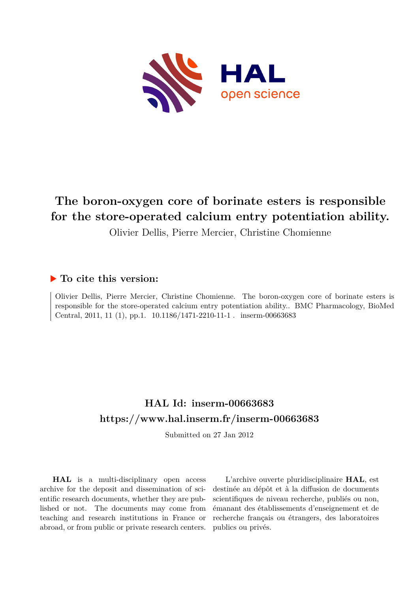

# **The boron-oxygen core of borinate esters is responsible for the store-operated calcium entry potentiation ability.**

Olivier Dellis, Pierre Mercier, Christine Chomienne

# **To cite this version:**

Olivier Dellis, Pierre Mercier, Christine Chomienne. The boron-oxygen core of borinate esters is responsible for the store-operated calcium entry potentiation ability.. BMC Pharmacology, BioMed Central, 2011, 11 (1), pp.1.  $10.1186/1471-2210-11-1$ . inserm-00663683

# **HAL Id: inserm-00663683 <https://www.hal.inserm.fr/inserm-00663683>**

Submitted on 27 Jan 2012

**HAL** is a multi-disciplinary open access archive for the deposit and dissemination of scientific research documents, whether they are published or not. The documents may come from teaching and research institutions in France or abroad, or from public or private research centers.

L'archive ouverte pluridisciplinaire **HAL**, est destinée au dépôt et à la diffusion de documents scientifiques de niveau recherche, publiés ou non, émanant des établissements d'enseignement et de recherche français ou étrangers, des laboratoires publics ou privés.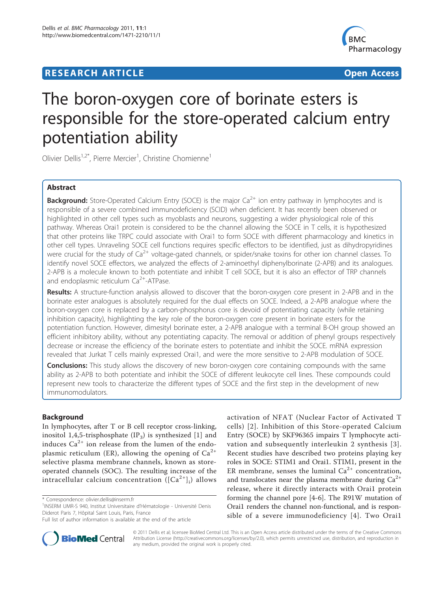## **RESEARCH ARTICLE Example 2018 12:30 The Contract of Contract Contract Contract Contract Contract Contract Contract Contract Contract Contract Contract Contract Contract Contract Contract Contract Contract Contract Contr**



# The boron-oxygen core of borinate esters is responsible for the store-operated calcium entry potentiation ability

Olivier Dellis<sup>1,2\*</sup>, Pierre Mercier<sup>1</sup>, Christine Chomienne<sup>1</sup>

#### Abstract

**Background:** Store-Operated Calcium Entry (SOCE) is the major Ca<sup>2+</sup> ion entry pathway in lymphocytes and is responsible of a severe combined immunodeficiency (SCID) when deficient. It has recently been observed or highlighted in other cell types such as myoblasts and neurons, suggesting a wider physiological role of this pathway. Whereas Orai1 protein is considered to be the channel allowing the SOCE in T cells, it is hypothesized that other proteins like TRPC could associate with Orai1 to form SOCE with different pharmacology and kinetics in other cell types. Unraveling SOCE cell functions requires specific effectors to be identified, just as dihydropyridines were crucial for the study of  $Ca^{2+}$  voltage-gated channels, or spider/snake toxins for other ion channel classes. To identify novel SOCE effectors, we analyzed the effects of 2-aminoethyl diphenylborinate (2-APB) and its analogues. 2-APB is a molecule known to both potentiate and inhibit T cell SOCE, but it is also an effector of TRP channels and endoplasmic reticulum  $Ca<sup>2+</sup>$ -ATPase.

Results: A structure-function analysis allowed to discover that the boron-oxygen core present in 2-APB and in the borinate ester analogues is absolutely required for the dual effects on SOCE. Indeed, a 2-APB analogue where the boron-oxygen core is replaced by a carbon-phosphorus core is devoid of potentiating capacity (while retaining inhibition capacity), highlighting the key role of the boron-oxygen core present in borinate esters for the potentiation function. However, dimesityl borinate ester, a 2-APB analogue with a terminal B-OH group showed an efficient inhibitory ability, without any potentiating capacity. The removal or addition of phenyl groups respectively decrease or increase the efficiency of the borinate esters to potentiate and inhibit the SOCE. mRNA expression revealed that Jurkat T cells mainly expressed Orai1, and were the more sensitive to 2-APB modulation of SOCE.

**Conclusions:** This study allows the discovery of new boron-oxygen core containing compounds with the same ability as 2-APB to both potentiate and inhibit the SOCE of different leukocyte cell lines. These compounds could represent new tools to characterize the different types of SOCE and the first step in the development of new immunomodulators.

#### Background

In lymphocytes, after T or B cell receptor cross-linking, inositol 1,4,5-trisphosphate  $(\text{IP}_3)$  is synthesized  $[1]$  $[1]$  and induces  $Ca^{2+}$  ion release from the lumen of the endoplasmic reticulum (ER), allowing the opening of  $Ca^{2+}$ selective plasma membrane channels, known as storeoperated channels (SOC). The resulting increase of the intracellular calcium concentration  $([{\rm Ca}^{2+}]_{\rm i})$  allows

Full list of author information is available at the end of the article





© 2011 Dellis et al; licensee BioMed Central Ltd. This is an Open Access article distributed under the terms of the Creative Commons Attribution License [\(http://creativecommons.org/licenses/by/2.0](http://creativecommons.org/licenses/by/2.0)), which permits unrestricted use, distribution, and reproduction in any medium, provided the original work is properly cited.

<sup>\*</sup> Correspondence: [olivier.dellis@inserm.fr](mailto:olivier.dellis@inserm.fr)

<sup>&</sup>lt;sup>1</sup>INSERM UMR-S 940, Institut Universitaire d'Hématologie - Université Denis Diderot Paris 7, Hôpital Saint Louis, Paris, France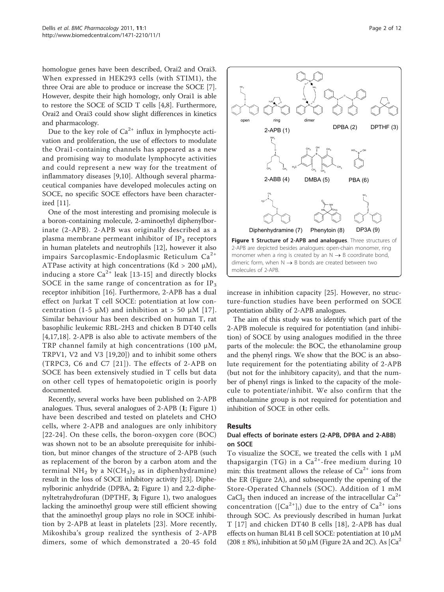<span id="page-2-0"></span>homologue genes have been described, Orai2 and Orai3. When expressed in HEK293 cells (with STIM1), the three Orai are able to produce or increase the SOCE [\[7](#page-11-0)]. However, despite their high homology, only Orai1 is able to restore the SOCE of SCID T cells [[4,8\]](#page-11-0). Furthermore, Orai2 and Orai3 could show slight differences in kinetics and pharmacology.

Due to the key role of  $Ca^{2+}$  influx in lymphocyte activation and proliferation, the use of effectors to modulate the Orai1-containing channels has appeared as a new and promising way to modulate lymphocyte activities and could represent a new way for the treatment of inflammatory diseases [\[9](#page-11-0),[10\]](#page-11-0). Although several pharmaceutical companies have developed molecules acting on SOCE, no specific SOCE effectors have been characterized [\[11](#page-11-0)].

One of the most interesting and promising molecule is a boron-containing molecule, 2-aminoethyl diphenylborinate (2-APB). 2-APB was originally described as a plasma membrane permeant inhibitor of  $IP<sub>3</sub>$  receptors in human platelets and neutrophils [\[12\]](#page-11-0), however it also impairs Sarcoplasmic-Endoplasmic Reticulum  $Ca^{2+}$ ATPase activity at high concentrations (Kd > 200  $\mu$ M), inducing a store  $Ca^{2+}$  leak [[13-](#page-11-0)[15\]](#page-12-0) and directly blocks SOCE in the same range of concentration as for  $IP_3$ receptor inhibition [\[16](#page-12-0)]. Furthermore, 2-APB has a dual effect on Jurkat T cell SOCE: potentiation at low con-centration (1-5 μM) and inhibition at > 50 μM [[17\]](#page-12-0). Similar behaviour has been described on human T, rat basophilic leukemic RBL-2H3 and chicken B DT40 cells [[4,](#page-11-0)[17,18](#page-12-0)]. 2-APB is also able to activate members of the TRP channel family at high concentrations (100 μM, TRPV1, V2 and V3 [\[19](#page-12-0),[20\]](#page-12-0)) and to inhibit some others (TRPC3, C6 and C7 [[21\]](#page-12-0)). The effects of 2-APB on SOCE has been extensively studied in T cells but data on other cell types of hematopoietic origin is poorly documented.

Recently, several works have been published on 2-APB analogues. Thus, several analogues of 2-APB (1; Figure 1) have been described and tested on platelets and CHO cells, where 2-APB and analogues are only inhibitory [[22](#page-12-0)-[24](#page-12-0)]. On these cells, the boron-oxygen core (BOC) was shown not to be an absolute prerequisite for inhibition, but minor changes of the structure of 2-APB (such as replacement of the boron by a carbon atom and the terminal NH<sub>2</sub> by a N(CH<sub>3</sub>)<sub>2</sub> as in diphenhydramine) result in the loss of SOCE inhibitory activity [[23](#page-12-0)]. Diphenylborinic anhydride (DPBA, 2; Figure 1) and 2,2-diphenyltetrahydrofuran (DPTHF, 3; Figure 1), two analogues lacking the aminoethyl group were still efficient showing that the aminoethyl group plays no role in SOCE inhibition by 2-APB at least in platelets [[23](#page-12-0)]. More recently, Mikoshiba's group realized the synthesis of 2-APB dimers, some of which demonstrated a 20-45 fold



increase in inhibition capacity [\[25](#page-12-0)]. However, no structure-function studies have been performed on SOCE potentiation ability of 2-APB analogues.

The aim of this study was to identify which part of the 2-APB molecule is required for potentiation (and inhibition) of SOCE by using analogues modified in the three parts of the molecule: the BOC, the ethanolamine group and the phenyl rings. We show that the BOC is an absolute requirement for the potentiating ability of 2-APB (but not for the inhibitory capacity), and that the number of phenyl rings is linked to the capacity of the molecule to potentiate/inhibit. We also confirm that the ethanolamine group is not required for potentiation and inhibition of SOCE in other cells.

#### Results

#### Dual effects of borinate esters (2-APB, DPBA and 2-ABB) on SOCE

To visualize the SOCE, we treated the cells with 1 μM thapsigargin (TG) in a  $Ca^{2+}$ -free medium during 10 min: this treatment allows the release of  $Ca^{2+}$  ions from the ER (Figure [2A\)](#page-3-0), and subsequently the opening of the Store-Operated Channels (SOC). Addition of 1 mM  $CaCl<sub>2</sub>$  then induced an increase of the intracellular  $Ca<sup>2+</sup>$ concentration ( $[Ca^{2+}]_i$ ) due to the entry of  $Ca^{2+}$  ions through SOC. As previously described in human Jurkat T [\[17](#page-12-0)] and chicken DT40 B cells [[18\]](#page-12-0), 2-APB has dual effects on human BL41 B cell SOCE: potentiation at 10 μM  $(208 \pm 8\%)$ , inhibition at 50 µM (Figure [2A](#page-3-0) and [2C](#page-3-0)). As  $\text{[Ca}^2$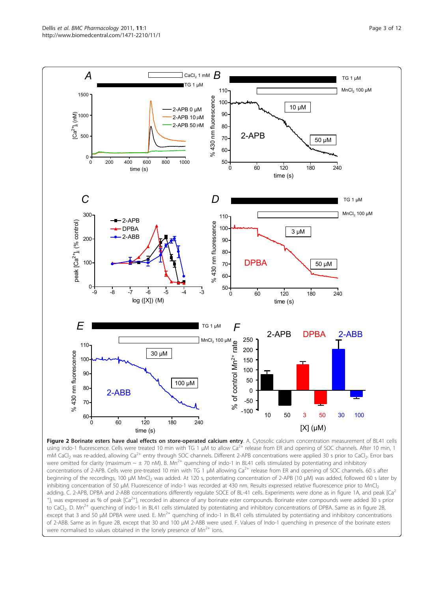<span id="page-3-0"></span>Dellis et al. BMC Pharmacology 2011, 11:1 http://www.biomedcentral.com/1471-2210/11/1



Figure 2 Borinate esters have dual effects on store-operated calcium entry. A. Cytosolic calcium concentration measurement of BL41 cells using indo-1 fluorescence. Cells were treated 10 min with TG 1 μM to allow Ca<sup>2+</sup> release from ER and opening of SOC channels. After 10 min, 1 mM CaCl<sub>2</sub> was re-added, allowing Ca<sup>2+</sup> entry through SOC channels. Different 2-APB concentrations were applied 30 s prior to CaCl<sub>2</sub>. Error bars were omitted for clarity (maximum  $\sim \pm 70$  nM). B. Mn<sup>2+</sup> quenching of indo-1 in BL41 cells stimulated by potentiating and inhibitory concentrations of 2-APB. Cells were pre-treated 10 min with TG 1 µM allowing Ca<sup>2+</sup> release from ER and opening of SOC channels. 60 s after beginning of the recordings, 100 μM MnCl<sub>2</sub> was added. At 120 s, potentiating concentration of 2-APB (10 μM) was added, followed 60 s later by inhibiting concentration of 50 μM. Fluorescence of indo-1 was recorded at 430 nm. Results expressed relative fluorescence prior to MnCl<sub>2</sub> adding. C. 2-APB, DPBA and 2-ABB concentrations differently regulate SOCE of BL-41 cells. Experiments were done as in figure 1A, and peak [Ca<sup>2</sup> <sup>+</sup>]<sub>i</sub> was expressed as % of peak [Ca<sup>2+</sup>]<sub>i</sub> recorded in absence of any borinate ester compounds. Borinate ester compounds were added 30 s prior to CaCl<sub>2</sub>. D. Mn<sup>2+</sup> quenching of indo-1 in BL41 cells stimulated by potentiating and inhibitory concentrations of DPBA. Same as in figure 2B, except that 3 and 50 µM DPBA were used. E. Mn<sup>2+</sup> quenching of indo-1 in BL41 cells stimulated by potentiating and inhibitory concentrations of 2-ABB. Same as in figure 2B, except that 30 and 100 μM 2-ABB were used. F. Values of Indo-1 quenching in presence of the borinate esters were normalised to values obtained in the lonely presence of  $Mn^{2+}$  ions.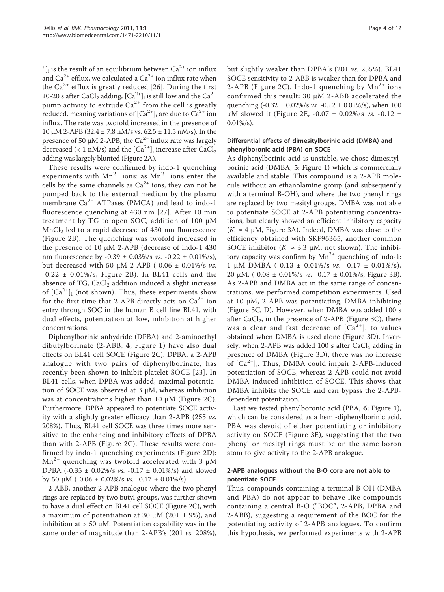$\,{}^{\!+}\!$  ], is the result of an equilibrium between Ca<sup>2+</sup> ion influx and  $Ca^{2+}$  efflux, we calculated a  $Ca^{2+}$  ion influx rate when the  $Ca^{2+}$  efflux is greatly reduced [[26](#page-12-0)]. During the first 10-20 s after CaCl<sub>2</sub> adding,  $\left[Ca^{2+}\right]_i$  is still low and the Ca<sup>2+</sup> pump activity to extrude  $Ca^{2+}$  from the cell is greatly reduced, meaning variations of  $[Ca^{2+}]$ <sub>i</sub> are due to  $Ca^{2+}$  ion influx. The rate was twofold increased in the presence of 10 μM 2-APB (32.4 ± 7.8 nM/s vs.  $62.5 \pm 11.5$  nM/s). In the presence of 50  $\mu$ M 2-APB, the Ca<sup>2+</sup> influx rate was largely decreased (< 1 nM/s) and the  $\rm [Ca^{2+}]_{i}$  increase after  $\rm CaCl_{2}$ adding was largely blunted (Figure [2A\)](#page-3-0).

These results were confirmed by indo-1 quenching experiments with  $Mn^{2+}$  ions: as  $Mn^{2+}$  ions enter the cells by the same channels as  $Ca^{2+}$  ions, they can not be pumped back to the external medium by the plasma membrane  $Ca^{2+}$  ATPases (PMCA) and lead to indo-1 fluorescence quenching at 430 nm [\[27\]](#page-12-0). After 10 min treatment by TG to open SOC, addition of 100 μM  $\rm MnCl_2$  led to a rapid decrease of 430 nm fluorescence (Figure [2B\)](#page-3-0). The quenching was twofold increased in the presence of 10 μM 2-APB (decrease of indo-1 430 nm fluorescence by -0.39  $\pm$  0.03%/s *vs.* -0.22  $\pm$  0.01%/s), but decreased with 50 μM 2-APB (-0.06  $\pm$  0.01%/s *vs*.  $-0.22 \pm 0.01\%/s$ , Figure [2B](#page-3-0)). In BL41 cells and the absence of  $TG$ ,  $CaCl<sub>2</sub>$  addition induced a slight increase of  $[Ca^{2+}]$ <sub>i</sub> (not shown). Thus, these experiments show for the first time that 2-APB directly acts on  $Ca^{2+}$  ion entry through SOC in the human B cell line BL41, with dual effects, potentiation at low, inhibition at higher concentrations.

Diphenylborinic anhydride (DPBA) and 2-aminoethyl dibutylborinate (2-ABB, 4; Figure [1\)](#page-2-0) have also dual effects on BL41 cell SOCE (Figure [2C\)](#page-3-0). DPBA, a 2-APB analogue with two pairs of diphenylborinate, has recently been shown to inhibit platelet SOCE [[23](#page-12-0)]. In BL41 cells, when DPBA was added, maximal potentiation of SOCE was observed at 3  $\mu$ M, whereas inhibition was at concentrations higher than 10 μM (Figure [2C](#page-3-0)). Furthermore, DPBA appeared to potentiate SOCE activity with a slightly greater efficacy than 2-APB (255 vs. 208%). Thus, BL41 cell SOCE was three times more sensitive to the enhancing and inhibitory effects of DPBA than with 2-APB (Figure [2C](#page-3-0)). These results were confirmed by indo-1 quenching experiments (Figure [2D\)](#page-3-0):  $Mn^{2+}$  quenching was twofold accelerated with 3  $\mu$ M DPBA (-0.35 ± 0.02%/s vs. -0.17 ± 0.01%/s) and slowed by 50 μM (-0.06  $\pm$  0.02%/s *vs.* -0.17  $\pm$  0.01%/s).

2-ABB, another 2-APB analogue where the two phenyl rings are replaced by two butyl groups, was further shown to have a dual effect on BL41 cell SOCE (Figure [2C\)](#page-3-0), with a maximum of potentiation at 30 μM (201  $\pm$  9%), and inhibition at  $> 50 \mu$ M. Potentiation capability was in the same order of magnitude than 2-APB's (201 vs. 208%), but slightly weaker than DPBA's (201 vs. 255%). BL41 SOCE sensitivity to 2-ABB is weaker than for DPBA and 2-APB (Figure [2C](#page-3-0)). Indo-1 quenching by  $Mn^{2+}$  ions confirmed this result: 30 μM 2-ABB accelerated the quenching (-0.32 ± 0.02%/s vs. -0.12 ± 0.01%/s), when 100 μM slowed it (Figure [2E](#page-3-0), -0.07  $\pm$  0.02%/s *vs.* -0.12  $\pm$  $0.01\%/s$ .

#### Differential effects of dimesitylborinic acid (DMBA) and phenylboronic acid (PBA) on SOCE

As diphenylborinic acid is unstable, we chose dimesitylborinic acid (DMBA, 5; Figure [1\)](#page-2-0) which is commercially available and stable. This compound is a 2-APB molecule without an ethanolamine group (and subsequently with a terminal B-OH), and where the two phenyl rings are replaced by two mesityl groups. DMBA was not able to potentiate SOCE at 2-APB potentiating concentrations, but clearly showed an efficient inhibitory capacity  $(K_i \approx 4 \mu M,$  Figure [3A\)](#page-5-0). Indeed, DMBA was close to the efficiency obtained with SKF96365, another common SOCE inhibitor ( $K_i \approx 3.3$  µM, not shown). The inhibitory capacity was confirm by  $Mn^{2+}$  quenching of indo-1: 1 μM DMBA  $(-0.13 \pm 0.01\%/s$  vs.  $-0.17 \pm 0.01\%/s)$ , 20 μM. (-0.08  $\pm$  0.01%/s *vs.* -0.17  $\pm$  0.01%/s, Figure [3B](#page-5-0)). As 2-APB and DMBA act in the same range of concentrations, we performed competition experiments. Used at 10 μM, 2-APB was potentiating, DMBA inhibiting (Figure [3C, D\)](#page-5-0). However, when DMBA was added 100 s after  $CaCl<sub>2</sub>$ , in the presence of 2-APB (Figure [3C\)](#page-5-0), there was a clear and fast decrease of  $[Ca<sup>2+</sup>]$ <sub>i</sub> to values obtained when DMBA is used alone (Figure [3D\)](#page-5-0). Inversely, when 2-APB was added 100 s after  $CaCl<sub>2</sub>$  adding in presence of DMBA (Figure [3D](#page-5-0)), there was no increase of [Ca<sup>2+</sup>]<sub>i</sub>. Thus, DMBA could impair 2-APB-induced potentiation of SOCE, whereas 2-APB could not avoid DMBA-induced inhibition of SOCE. This shows that DMBA inhibits the SOCE and can bypass the 2-APBdependent potentiation.

Last we tested phenylboronic acid (PBA, 6; Figure [1](#page-2-0)), which can be considered as a hemi-diphenylborinic acid. PBA was devoid of either potentiating or inhibitory activity on SOCE (Figure [3E\)](#page-5-0), suggesting that the two phenyl or mesityl rings must be on the same boron atom to give activity to the 2-APB analogue.

#### 2-APB analogues without the B-O core are not able to potentiate SOCE

Thus, compounds containing a terminal B-OH (DMBA and PBA) do not appear to behave like compounds containing a central B-O ("BOC", 2-APB, DPBA and 2-ABB), suggesting a requirement of the BOC for the potentiating activity of 2-APB analogues. To confirm this hypothesis, we performed experiments with 2-APB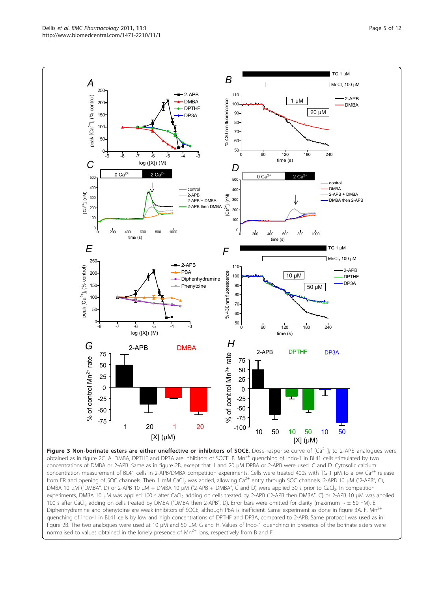<span id="page-5-0"></span>Dellis et al. BMC Pharmacology 2011, 11:1 http://www.biomedcentral.com/1471-2210/11/1



concentration measurement of BL41 cells in 2-APB/DMBA competition experiments. Cells were treated 400s with TG 1 μM to allow Ca<sup>2+</sup> release from ER and opening of SOC channels. Then 1 mM CaCl<sub>2</sub> was added, allowing Ca<sup>2+</sup> entry through SOC channels. 2-APB 10 μM ("2-APB", C), DMBA 10 μM ("DMBA", D) or 2-APB 10 μM + DMBA 10 μM ("2-APB + DMBA", C and D) were applied 30 s prior to CaCl<sub>2</sub>. In competition experiments, DMBA 10 μM was applied 100 s after CaCl<sub>2</sub> adding on cells treated by 2-APB ("2-APB then DMBA", C) or 2-APB 10 μM was applied 100 s after CaCl<sub>2</sub> adding on cells treated by DMBA ("DMBA then 2-APB", D). Error bars were omitted for clarity (maximum  $\sim \pm$  50 nM). E. Diphenhydramine and phenytoine are weak inhibitors of SOCE, although PBA is inefficient. Same experiment as done in figure 3A. F. Mn<sup>2+</sup> quenching of indo-1 in BL41 cells by low and high concentrations of DPTHF and DP3A, compared to 2-APB. Same protocol was used as in figure 2B. The two analogues were used at 10 μM and 50 μM. G and H. Values of Indo-1 quenching in presence of the borinate esters were normalised to values obtained in the lonely presence of  $Mn^{2+}$  ions, respectively from B and F.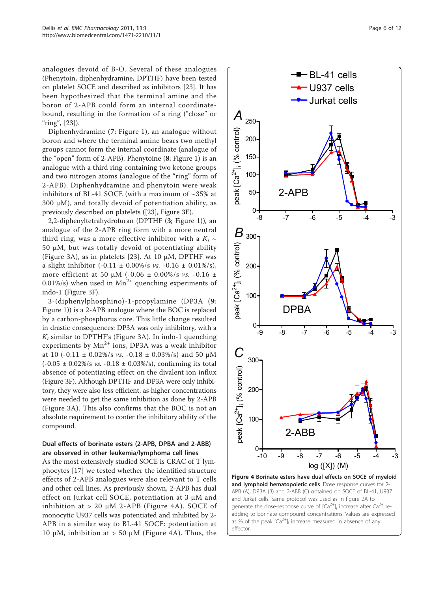<span id="page-6-0"></span>analogues devoid of B-O. Several of these analogues (Phenytoin, diphenhydramine, DPTHF) have been tested on platelet SOCE and described as inhibitors [\[23\]](#page-12-0). It has been hypothesized that the terminal amine and the boron of 2-APB could form an internal coordinatebound, resulting in the formation of a ring ("close" or " $ring$ ", [[23](#page-12-0)]).

Diphenhydramine (7; Figure [1](#page-2-0)), an analogue without boron and where the terminal amine bears two methyl groups cannot form the internal coordinate (analogue of the "open" form of 2-APB). Phenytoine (8; Figure [1\)](#page-2-0) is an analogue with a third ring containing two ketone groups and two nitrogen atoms (analogue of the "ring" form of 2-APB). Diphenhydramine and phenytoin were weak inhibitors of BL-41 SOCE (with a maximum of  $\sim$ 35% at 300 μM), and totally devoid of potentiation ability, as previously described on platelets ([[23](#page-12-0)], Figure [3E](#page-5-0)).

2,2-diphenyltetrahydrofuran (DPTHF (3; Figure [1\)](#page-2-0)), an analogue of the 2-APB ring form with a more neutral third ring, was a more effective inhibitor with a  $K_i \sim$ 50 μM, but was totally devoid of potentiating ability (Figure [3A](#page-5-0)), as in platelets [\[23](#page-12-0)]. At 10 μM, DPTHF was a slight inhibitor  $(-0.11 \pm 0.00\%/s$  vs.  $-0.16 \pm 0.01\%/s)$ , more efficient at 50 μM (-0.06  $\pm$  0.00%/s vs. -0.16  $\pm$ 0.01%/s) when used in  $Mn^{2+}$  quenching experiments of indo-1 (Figure [3F\)](#page-5-0).

3-(diphenylphosphino)-1-propylamine (DP3A (9; Figure [1\)](#page-2-0)) is a 2-APB analogue where the BOC is replaced by a carbon-phosphorus core. This little change resulted in drastic consequences: DP3A was only inhibitory, with a  $K_i$  similar to DPTHF's (Figure [3A\)](#page-5-0). In indo-1 quenching experiments by  $Mn^{2+}$  ions, DP3A was a weak inhibitor at 10 (-0.11  $\pm$  0.02%/s *vs.* -0.18  $\pm$  0.03%/s) and 50 μM  $(-0.05 \pm 0.02\%/s \text{ vs. } -0.18 \pm 0.03\%/s),$  confirming its total absence of potentiating effect on the divalent ion influx (Figure [3F](#page-5-0)). Although DPTHF and DP3A were only inhibitory, they were also less efficient, as higher concentrations were needed to get the same inhibition as done by 2-APB (Figure [3A](#page-5-0)). This also confirms that the BOC is not an absolute requirement to confer the inhibitory ability of the compound.

#### Dual effects of borinate esters (2-APB, DPBA and 2-ABB) are observed in other leukemia/lymphoma cell lines

As the most extensively studied SOCE is CRAC of T lymphocytes [\[17](#page-12-0)] we tested whether the identified structure effects of 2-APB analogues were also relevant to T cells and other cell lines. As previously shown, 2-APB has dual effect on Jurkat cell SOCE, potentiation at 3 μM and inhibition at  $> 20 \mu M$  2-APB (Figure 4A). SOCE of monocytic U937 cells was potentiated and inhibited by 2- APB in a similar way to BL-41 SOCE: potentiation at 10 μM, inhibition at > 50 μM (Figure 4A). Thus, the

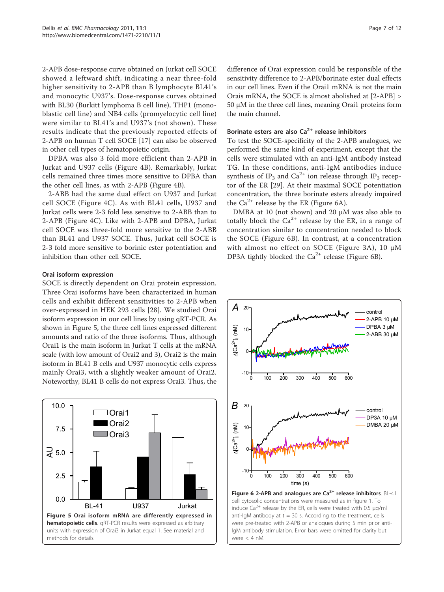<span id="page-7-0"></span>2-APB dose-response curve obtained on Jurkat cell SOCE showed a leftward shift, indicating a near three-fold higher sensitivity to 2-APB than B lymphocyte BL41's and monocytic U937's. Dose-response curves obtained with BL30 (Burkitt lymphoma B cell line), THP1 (monoblastic cell line) and NB4 cells (promyelocytic cell line) were similar to BL41's and U937's (not shown). These results indicate that the previously reported effects of 2-APB on human T cell SOCE [\[17](#page-12-0)] can also be observed in other cell types of hematopoietic origin.

DPBA was also 3 fold more efficient than 2-APB in Jurkat and U937 cells (Figure [4B](#page-6-0)). Remarkably, Jurkat cells remained three times more sensitive to DPBA than the other cell lines, as with 2-APB (Figure [4B\)](#page-6-0).

2-ABB had the same dual effect on U937 and Jurkat cell SOCE (Figure [4C](#page-6-0)). As with BL41 cells, U937 and Jurkat cells were 2-3 fold less sensitive to 2-ABB than to 2-APB (Figure [4C](#page-6-0)). Like with 2-APB and DPBA, Jurkat cell SOCE was three-fold more sensitive to the 2-ABB than BL41 and U937 SOCE. Thus, Jurkat cell SOCE is 2-3 fold more sensitive to borinic ester potentiation and inhibition than other cell SOCE.

#### Orai isoform expression

SOCE is directly dependent on Orai protein expression. Three Orai isoforms have been characterized in human cells and exhibit different sensitivities to 2-APB when over-expressed in HEK 293 cells [[28](#page-12-0)]. We studied Orai isoform expression in our cell lines by using qRT-PCR. As shown in Figure 5, the three cell lines expressed different amounts and ratio of the three isoforms. Thus, although Orai1 is the main isoform in Jurkat T cells at the mRNA scale (with low amount of Orai2 and 3), Orai2 is the main isoform in BL41 B cells and U937 monocytic cells express mainly Orai3, with a slightly weaker amount of Orai2. Noteworthy, BL41 B cells do not express Orai3. Thus, the



difference of Orai expression could be responsible of the sensitivity difference to 2-APB/borinate ester dual effects in our cell lines. Even if the Orai1 mRNA is not the main Orais mRNA, the SOCE is almost abolished at [2-APB] > 50 μM in the three cell lines, meaning Orai1 proteins form the main channel.

## Borinate esters are also  $Ca^{2+}$  release inhibitors

To test the SOCE-specificity of the 2-APB analogues, we performed the same kind of experiment, except that the cells were stimulated with an anti-IgM antibody instead TG. In these conditions, anti-IgM antibodies induce synthesis of IP<sub>3</sub> and Ca<sup>2+</sup> ion release through IP<sub>3</sub> receptor of the ER [\[29](#page-12-0)]. At their maximal SOCE potentiation concentration, the three borinate esters already impaired the  $Ca^{2+}$  release by the ER (Figure 6A).

DMBA at 10 (not shown) and 20 μM was also able to totally block the  $Ca^{2+}$  release by the ER, in a range of concentration similar to concentration needed to block the SOCE (Figure 6B). In contrast, at a concentration with almost no effect on SOCE (Figure [3A](#page-5-0)), 10 μM DP3A tightly blocked the  $Ca^{2+}$  release (Figure 6B).



IgM antibody stimulation. Error bars were omitted for clarity but

were < 4 nM.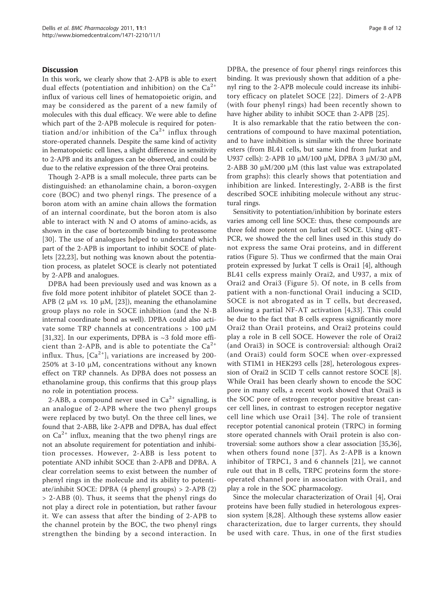#### **Discussion**

In this work, we clearly show that 2-APB is able to exert dual effects (potentiation and inhibition) on the  $Ca^{2+}$ influx of various cell lines of hematopoietic origin, and may be considered as the parent of a new family of molecules with this dual efficacy. We were able to define which part of the 2-APB molecule is required for potentiation and/or inhibition of the  $Ca^{2+}$  influx through store-operated channels. Despite the same kind of activity in hematopoietic cell lines, a slight difference in sensitivity to 2-APB and its analogues can be observed, and could be due to the relative expression of the three Orai proteins.

Though 2-APB is a small molecule, three parts can be distinguished: an ethanolamine chain, a boron-oxygen core (BOC) and two phenyl rings. The presence of a boron atom with an amine chain allows the formation of an internal coordinate, but the boron atom is also able to interact with N and O atoms of amino-acids, as shown in the case of bortezomib binding to proteasome [[30](#page-12-0)]. The use of analogues helped to understand which part of the 2-APB is important to inhibit SOCE of platelets [\[22,23](#page-12-0)], but nothing was known about the potentiation process, as platelet SOCE is clearly not potentiated by 2-APB and analogues.

DPBA had been previously used and was known as a five fold more potent inhibitor of platelet SOCE than 2- APB (2 μM *vs.* 10 μM, [[23\]](#page-12-0)), meaning the ethanolamine group plays no role in SOCE inhibition (and the N-B internal coordinate bond as well). DPBA could also activate some TRP channels at concentrations > 100 μM [[31,32\]](#page-12-0). In our experiments, DPBA is  $\sim$ 3 fold more efficient than 2-APB, and is able to potentiate the  $Ca^{2+}$ influx. Thus,  $[Ca^{2+}]$ <sub>i</sub> variations are increased by 200-250% at 3-10 μM, concentrations without any known effect on TRP channels. As DPBA does not possess an ethanolamine group, this confirms that this group plays no role in potentiation process.

2-ABB, a compound never used in  $Ca^{2+}$  signalling, is an analogue of 2-APB where the two phenyl groups were replaced by two butyl. On the three cell lines, we found that 2-ABB, like 2-APB and DPBA, has dual effect on  $Ca^{2+}$  influx, meaning that the two phenyl rings are not an absolute requirement for potentiation and inhibition processes. However, 2-ABB is less potent to potentiate AND inhibit SOCE than 2-APB and DPBA. A clear correlation seems to exist between the number of phenyl rings in the molecule and its ability to potentiate/inhibit SOCE: DPBA (4 phenyl groups) > 2-APB (2) > 2-ABB (0). Thus, it seems that the phenyl rings do not play a direct role in potentiation, but rather favour it. We can assess that after the binding of 2-APB to the channel protein by the BOC, the two phenyl rings strengthen the binding by a second interaction. In

DPBA, the presence of four phenyl rings reinforces this binding. It was previously shown that addition of a phenyl ring to the 2-APB molecule could increase its inhibitory efficacy on platelet SOCE [[22\]](#page-12-0). Dimers of 2-APB (with four phenyl rings) had been recently shown to have higher ability to inhibit SOCE than 2-APB [\[25\]](#page-12-0).

It is also remarkable that the ratio between the concentrations of compound to have maximal potentiation, and to have inhibition is similar with the three borinate esters (from BL41 cells, but same kind from Jurkat and U937 cells): 2-APB 10 μM/100 μM, DPBA 3 μM/30 μM, 2-ABB 30 μM/200 μM (this last value was extrapolated from graphs): this clearly shows that potentiation and inhibition are linked. Interestingly, 2-ABB is the first described SOCE inhibiting molecule without any structural rings.

Sensitivity to potentiation/inhibition by borinate esters varies among cell line SOCE: thus, these compounds are three fold more potent on Jurkat cell SOCE. Using qRT-PCR, we showed the the cell lines used in this study do not express the same Orai proteins, and in different ratios (Figure [5](#page-7-0)). Thus we confirmed that the main Orai protein expressed by Jurkat T cells is Orai1 [[4](#page-11-0)], although BL41 cells express mainly Orai2, and U937, a mix of Orai2 and Orai3 (Figure [5](#page-7-0)). Of note, in B cells from patient with a non-functional Orai1 inducing a SCID, SOCE is not abrogated as in T cells, but decreased, allowing a partial NF-AT activation [[4,](#page-11-0)[33](#page-12-0)]. This could be due to the fact that B cells express significantly more Orai2 than Orai1 proteins, and Orai2 proteins could play a role in B cell SOCE. However the role of Orai2 (and Orai3) in SOCE is controversial: although Orai2 (and Orai3) could form SOCE when over-expressed with STIM1 in HEK293 cells [[28\]](#page-12-0), heterologous expression of Orai2 in SCID T cells cannot restore SOCE [[8](#page-11-0)]. While Orai1 has been clearly shown to encode the SOC pore in many cells, a recent work showed that Orai3 is the SOC pore of estrogen receptor positive breast cancer cell lines, in contrast to estrogen receptor negative cell line which use Orai1 [[34](#page-12-0)]. The role of transient receptor potential canonical protein (TRPC) in forming store operated channels with Orai1 protein is also controversial: some authors show a clear association [[35](#page-12-0),[36](#page-12-0)], when others found none [[37\]](#page-12-0). As 2-APB is a known inhibitor of TRPC1, 3 and 6 channels [[21](#page-12-0)], we cannot rule out that in B cells, TRPC proteins form the storeoperated channel pore in association with Orai1, and play a role in the SOC pharmacology.

Since the molecular characterization of Orai1 [[4\]](#page-11-0), Orai proteins have been fully studied in heterologous expression system [\[8](#page-11-0),[28\]](#page-12-0). Although these systems allow easier characterization, due to larger currents, they should be used with care. Thus, in one of the first studies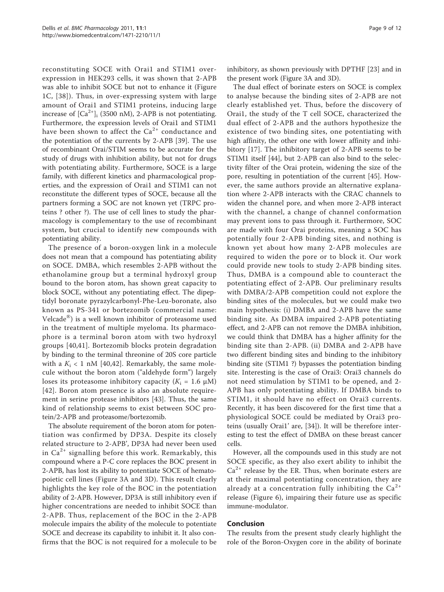reconstituting SOCE with Orai1 and STIM1 overexpression in HEK293 cells, it was shown that 2-APB was able to inhibit SOCE but not to enhance it (Figure [1C,](#page-2-0) [[38\]](#page-12-0)). Thus, in over-expressing system with large amount of Orai1 and STIM1 proteins, inducing large increase of  $\left[Ca^{2+}\right]_i$  (3500 nM), 2-APB is not potentiating. Furthermore, the expression levels of Orai1 and STIM1 have been shown to affect the  $Ca^{2+}$  conductance and the potentiation of the currents by 2-APB [[39](#page-12-0)]. The use of recombinant Orai/STIM seems to be accurate for the study of drugs with inhibition ability, but not for drugs with potentiating ability. Furthermore, SOCE is a large family, with different kinetics and pharmacological properties, and the expression of Orai1 and STIM1 can not reconstitute the different types of SOCE, because all the partners forming a SOC are not known yet (TRPC proteins ? other ?). The use of cell lines to study the pharmacology is complementary to the use of recombinant system, but crucial to identify new compounds with potentiating ability.

The presence of a boron-oxygen link in a molecule does not mean that a compound has potentiating ability on SOCE. DMBA, which resembles 2-APB without the ethanolamine group but a terminal hydroxyl group bound to the boron atom, has shown great capacity to block SOCE, without any potentiating effect. The dipeptidyl boronate pyrazylcarbonyl-Phe-Leu-boronate, also known as PS-341 or bortezomib (commercial name: Velcade® ) is a well known inhibitor of proteasome used in the treatment of multiple myeloma. Its pharmacophore is a terminal boron atom with two hydroxyl groups [[40](#page-12-0),[41\]](#page-12-0). Bortezomib blocks protein degradation by binding to the terminal threonine of 20S core particle with a  $K_i$  < 1 nM [[40,42](#page-12-0)]. Remarkably, the same molecule without the boron atom ("aldehyde form") largely loses its proteasome inhibitory capacity ( $K_i = 1.6 \mu M$ ) [[42](#page-12-0)]. Boron atom presence is also an absolute requirement in serine protease inhibitors [[43\]](#page-12-0). Thus, the same kind of relationship seems to exist between SOC protein/2-APB and proteasome/bortezomib.

The absolute requirement of the boron atom for potentiation was confirmed by DP3A. Despite its closely related structure to 2-APB', DP3A had never been used in  $Ca^{2+}$  signalling before this work. Remarkably, this compound where a P-C core replaces the BOC present in 2-APB, has lost its ability to potentiate SOCE of hematopoietic cell lines (Figure [3A](#page-5-0) and [3D](#page-5-0)). This result clearly highlights the key role of the BOC in the potentiation ability of 2-APB. However, DP3A is still inhibitory even if higher concentrations are needed to inhibit SOCE than 2-APB. Thus, replacement of the BOC in the 2-APB molecule impairs the ability of the molecule to potentiate SOCE and decrease its capability to inhibit it. It also confirms that the BOC is not required for a molecule to be inhibitory, as shown previously with DPTHF [\[23](#page-12-0)] and in the present work (Figure [3A](#page-5-0) and [3D\)](#page-5-0).

The dual effect of borinate esters on SOCE is complex to analyse because the binding sites of 2-APB are not clearly established yet. Thus, before the discovery of Orai1, the study of the T cell SOCE, characterized the dual effect of 2-APB and the authors hypothesize the existence of two binding sites, one potentiating with high affinity, the other one with lower affinity and inhibitory [[17\]](#page-12-0). The inhibitory target of 2-APB seems to be STIM1 itself [[44\]](#page-12-0), but 2-APB can also bind to the selectivity filter of the Orai protein, widening the size of the pore, resulting in potentiation of the current [[45\]](#page-12-0). However, the same authors provide an alternative explanation where 2-APB interacts with the CRAC channels to widen the channel pore, and when more 2-APB interact with the channel, a change of channel conformation may prevent ions to pass through it. Furthermore, SOC are made with four Orai proteins, meaning a SOC has potentially four 2-APB binding sites, and nothing is known yet about how many 2-APB molecules are required to widen the pore or to block it. Our work could provide new tools to study 2-APB binding sites. Thus, DMBA is a compound able to counteract the potentiating effect of 2-APB. Our preliminary results with DMBA/2-APB competition could not explore the binding sites of the molecules, but we could make two main hypothesis: (i) DMBA and 2-APB have the same binding site. As DMBA impaired 2-APB potentiating effect, and 2-APB can not remove the DMBA inhibition, we could think that DMBA has a higher affinity for the binding site than 2-APB. (ii) DMBA and 2-APB have two different binding sites and binding to the inhibitory binding site (STIM1 ?) bypasses the potentiation binding site. Interesting is the case of Orai3: Orai3 channels do not need stimulation by STIM1 to be opened, and 2- APB has only potentiating ability. If DMBA binds to STIM1, it should have no effect on Orai3 currents. Recently, it has been discovered for the first time that a physiological SOCE could be mediated by Orai3 proteins (usually Orai1' are, [[34](#page-12-0)]). It will be therefore interesting to test the effect of DMBA on these breast cancer cells.

However, all the compounds used in this study are not SOCE specific, as they also exert ability to inhibit the  $Ca<sup>2+</sup>$  release by the ER. Thus, when borinate esters are at their maximal potentiating concentration, they are already at a concentration fully inhibiting the  $Ca^{2+}$ release (Figure [6](#page-7-0)), impairing their future use as specific immune-modulator.

#### Conclusion

The results from the present study clearly highlight the role of the Boron-Oxygen core in the ability of borinate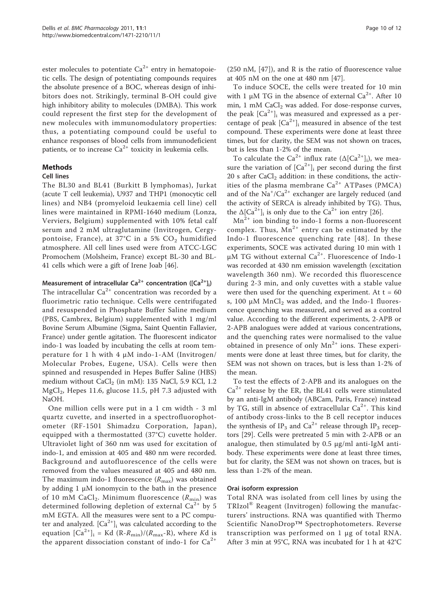ester molecules to potentiate  $Ca^{2+}$  entry in hematopoietic cells. The design of potentiating compounds requires the absolute presence of a BOC, whereas design of inhibitors does not. Strikingly, terminal B-OH could give high inhibitory ability to molecules (DMBA). This work could represent the first step for the development of new molecules with immunomodulatory properties: thus, a potentiating compound could be useful to enhance responses of blood cells from immunodeficient patients, or to increase  $Ca^{2+}$  toxicity in leukemia cells.

#### Methods

#### Cell lines

The BL30 and BL41 (Burkitt B lymphomas), Jurkat (acute T cell leukemia), U937 and THP1 (monocytic cell lines) and NB4 (promyeloid leukaemia cell line) cell lines were maintained in RPMI-1640 medium (Lonza, Verviers, Belgium) supplemented with 10% fetal calf serum and 2 mM ultraglutamine (Invitrogen, Cergypontoise, France), at 37°C in a 5%  $CO<sub>2</sub>$  humidified atmosphere. All cell lines used were from ATCC-LGC Promochem (Molsheim, France) except BL-30 and BL-41 cells which were a gift of Irene Joab [\[46\]](#page-12-0).

### Measurement of intracellular  $\textsf{Ca}^{2+}$  concentration ([Ca $^{2+}$ ]<sub>i</sub>)

The intracellular  $Ca^{2+}$  concentration was recorded by a fluorimetric ratio technique. Cells were centrifugated and resuspended in Phosphate Buffer Saline medium (PBS, Cambrex, Belgium) supplemented with 1 mg/ml Bovine Serum Albumine (Sigma, Saint Quentin Fallavier, France) under gentle agitation. The fluorescent indicator indo-1 was loaded by incubating the cells at room temperature for 1 h with 4 μM indo-1-AM (Invitrogen/ Molecular Probes, Eugene, USA). Cells were then spinned and resuspended in Hepes Buffer Saline (HBS) medium without  $\text{CaCl}_2$  (in mM): 135 NaCl, 5.9 KCl, 1.2  $MgCl<sub>2</sub>$ , Hepes 11.6, glucose 11.5, pH 7.3 adjusted with NaOH.

One million cells were put in a 1 cm width - 3 ml quartz cuvette, and inserted in a spectrofluorophotometer (RF-1501 Shimadzu Corporation, Japan), equipped with a thermostatted (37°C) cuvette holder. Ultraviolet light of 360 nm was used for excitation of indo-1, and emission at 405 and 480 nm were recorded. Background and autofluorescence of the cells were removed from the values measured at 405 and 480 nm. The maximum indo-1 fluorescence  $(R_{\text{max}})$  was obtained by adding 1 μM ionomycin to the bath in the presence of 10 mM CaCl $_2$ . Minimum fluorescence  $(R_{\rm min})$  was determined following depletion of external  $Ca^{2+}$  by 5 mM EGTA. All the measures were sent to a PC computer and analyzed.  $[Ca^{2+}]$ <sub>i</sub> was calculated according to the equation  $[Ca^{2+}]_i = Kd (R-R_{min})/(R_{max}-R)$ , where Kd is the apparent dissociation constant of indo-1 for  $Ca^{2+}$ 

(250 nM, [[47](#page-12-0)]), and R is the ratio of fluorescence value at 405 nM on the one at 480 nm [[47](#page-12-0)].

To induce SOCE, the cells were treated for 10 min with 1  $\mu$ M TG in the absence of external Ca<sup>2+</sup>. After 10 min,  $1 \text{ mM } CaCl<sub>2</sub>$  was added. For dose-response curves, the peak  $[Ca^{2+}]$ <sub>i</sub> was measured and expressed as a percentage of peak  $[Ca^{2+}]$ <sub>i</sub> measured in absence of the test compound. These experiments were done at least three times, but for clarity, the SEM was not shown on traces, but is less than 1-2% of the mean.

To calculate the Ca<sup>2+</sup> influx rate ( $\Delta$ [Ca<sup>2+</sup>]<sub>i</sub>), we measure the variation of  $[Ca^{2+}]_i$  per second during the first 20 s after  $CaCl<sub>2</sub>$  addition: in these conditions, the activities of the plasma membrane  $Ca^{2+}$  ATPases (PMCA) and of the  $\text{Na}^+/ \text{Ca}^{2+}$  exchanger are largely reduced (and the activity of SERCA is already inhibited by TG). Thus, the  $\Delta [Ca^{2+}]_i$  is only due to the  $Ca^{2+}$  ion entry [\[26](#page-12-0)].

 $Mn^{2+}$  ion binding to indo-1 forms a non-fluorescent complex. Thus,  $Mn^{2+}$  entry can be estimated by the Indo-1 fluorescence quenching rate [[48\]](#page-12-0). In these experiments, SOCE was activated during 10 min with 1 μM TG without external  $Ca^{2+}$ . Fluorescence of Indo-1 was recorded at 430 nm emission wavelength (excitation wavelength 360 nm). We recorded this fluorescence during 2-3 min, and only cuvettes with a stable value were then used for the quenching experiment. At  $t = 60$ s, 100 μM MnCl<sub>2</sub> was added, and the Indo-1 fluorescence quenching was measured, and served as a control value. According to the different experiments, 2-APB or 2-APB analogues were added at various concentrations, and the quenching rates were normalised to the value obtained in presence of only  $Mn^{2+}$  ions. These experiments were done at least three times, but for clarity, the SEM was not shown on traces, but is less than 1-2% of the mean.

To test the effects of 2-APB and its analogues on the  $Ca<sup>2+</sup>$  release by the ER, the BL41 cells were stimulated by an anti-IgM antibody (ABCam, Paris, France) instead by TG, still in absence of extracellular  $Ca^{2+}$ . This kind of antibody cross-links to the B cell receptor induces the synthesis of IP<sub>3</sub> and Ca<sup>2+</sup> release through IP<sub>3</sub> receptors [\[29\]](#page-12-0). Cells were pretreated 5 min with 2-APB or an analogue, then stimulated by 0.5 μg/ml anti-IgM antibody. These experiments were done at least three times, but for clarity, the SEM was not shown on traces, but is less than 1-2% of the mean.

#### Orai isoform expression

Total RNA was isolated from cell lines by using the TRIzol® Reagent (Invitrogen) following the manufacturers' instructions. RNA was quantified with Thermo Scientific NanoDrop™ Spectrophotometers. Reverse transcription was performed on 1 μg of total RNA. After 3 min at 95°C, RNA was incubated for 1 h at 42°C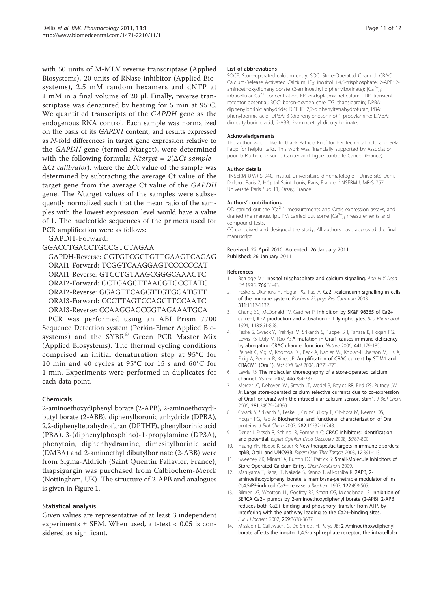<span id="page-11-0"></span>with 50 units of M-MLV reverse transcriptase (Applied Biosystems), 20 units of RNase inhibitor (Applied Biosystems), 2.5 mM random hexamers and dNTP at 1 mM in a final volume of 20 μl. Finally, reverse transcriptase was denatured by heating for 5 min at 95°C. We quantified transcripts of the GAPDH gene as the endogenous RNA control. Each sample was normalized on the basis of its GAPDH content, and results expressed as N-fold differences in target gene expression relative to the GAPDH gene (termed Ntarget), were determined with the following formula: Ntarget =  $2(\Delta Ct \ sample -$ ∆Ct calibrator), where the ∆Ct value of the sample was determined by subtracting the average Ct value of the target gene from the average Ct value of the GAPDH gene. The Ntarget values of the samples were subsequently normalized such that the mean ratio of the samples with the lowest expression level would have a value of 1. The nucleotide sequences of the primers used for PCR amplification were as follows:

GAPDH-Forward:

#### GGACCTGACCTGCCGTCTAGAA

GAPDH-Reverse: GGTGTCGCTGTTGAAGTCAGAG ORAI1-Forward: TCGGTCAAGGAGTCCCCCCAT ORAI1-Reverse: GTCCTGTAAGCGGGCAAACTC ORAI2-Forward: GCTGAGCTTAACGTGCCTATC ORAI2-Reverse: GGAGTTCAGGTTGTGGATGTT ORAI3-Forward: CCCTTAGTCCAGCTTCCAATC ORAI3-Reverse: CCAAGGAGCGGTAGAAATGCA

PCR was performed using an ABI Prism 7700 Sequence Detection system (Perkin-Elmer Applied Biosystems) and the SYBR® Green PCR Master Mix (Applied Biosystems). The thermal cycling conditions comprised an initial denaturation step at 95°C for 10 min and 40 cycles at 95°C for 15 s and 60°C for 1 min. Experiments were performed in duplicates for each data point.

#### Chemicals

2-aminoethoxydiphenyl borate (2-APB), 2-aminoethoxydibutyl borate (2-ABB), diphenylboronic anhydride (DPBA), 2,2-diphenyltetrahydrofuran (DPTHF), phenylborinic acid (PBA), 3-(diphenylphosphino)-1-propylamine (DP3A), phenytoin, diphenhydramine, dimesitylborinic acid (DMBA) and 2-aminoethyl dibutylborinate (2-ABB) were from Sigma-Aldrich (Saint Quentin Fallavier, France), thapsigargin was purchased from Calbiochem-Merck (Nottingham, UK). The structure of 2-APB and analogues is given in Figure [1](#page-2-0).

#### Statistical analysis

Given values are representative of at least 3 independent experiments  $\pm$  SEM. When used, a t-test < 0.05 is considered as significant.

#### List of abbreviations

SOCE: Store-operated calcium entry; SOC: Store-Operated Channel; CRAC: Calcium-Release Activated Calcium; IP<sub>3</sub>: inositol 1,4,5-trisphosphate; 2-APB: 2aminoethoxydiphenylborate (2-aminoethyl diphenylborinate);  $[Ca^{2+}]\cdot$ intracellular Ca<sup>2+</sup> concentration; ER: endoplasmic reticulum; TRP: transient receptor potential; BOC: boron-oxygen core; TG: thapsigargin; DPBA: diphenylborinic anhydride; DPTHF: 2,2-diphenyltetrahydrofuran; PBA: phenylborinic acid; DP3A: 3-(diphenylphosphino)-1-propylamine; DMBA: dimesitylborinic acid; 2-ABB: 2-aminoethyl dibutylborinate.

#### Acknowledgements

The author would like to thank Patricia Krief for her technical help and Béla Papp for helpful talks. This work was financially supported by Association pour la Recherche sur le Cancer and Ligue contre le Cancer (France).

#### Author details

<sup>1</sup>INSERM UMR-S 940, Institut Universitaire d'Hématologie - Université Denis Diderot Paris 7, Hôpital Saint Louis, Paris, France. <sup>2</sup>INSERM UMR-S 757, Université Paris Sud 11, Orsay, France.

#### Authors' contributions

OD carried out the  $[Ca^{2+}]}$  measurements and Orais expression assays, and drafted the manuscript. PM carried out some  $[Ca^{2+}]_i$  measurements and compound tests.

CC conceived and designed the study. All authors have approved the final manuscript

Received: 22 April 2010 Accepted: 26 January 2011 Published: 26 January 2011

#### References

- 1. Berridge MJ: [Inositol trisphosphate and calcium signaling.](http://www.ncbi.nlm.nih.gov/pubmed/7486679?dopt=Abstract) Ann N Y Acad Sci 1995, 766:31-43.
- 2. Feske S, Okamura H, Hogan PG, Rao A: [Ca2+/calcineurin signalling in cells](http://www.ncbi.nlm.nih.gov/pubmed/14623298?dopt=Abstract) [of the immune system.](http://www.ncbi.nlm.nih.gov/pubmed/14623298?dopt=Abstract) Biochem Biophys Res Commun 2003, 311:1117-1132.
- Chung SC, McDonald TV, Gardner P: [Inhibition by SK&F 96365 of Ca2+](http://www.ncbi.nlm.nih.gov/pubmed/7858878?dopt=Abstract) [current, IL-2 production and activation in T lymphocytes.](http://www.ncbi.nlm.nih.gov/pubmed/7858878?dopt=Abstract) Br J Pharmacol 1994, 113:861-868.
- 4. Feske S, Gwack Y, Prakriya M, Srikanth S, Puppel SH, Tanasa B, Hogan PG, Lewis RS, Daly M, Rao A: [A mutation in Orai1 causes immune deficiency](http://www.ncbi.nlm.nih.gov/pubmed/16582901?dopt=Abstract) [by abrogating CRAC channel function.](http://www.ncbi.nlm.nih.gov/pubmed/16582901?dopt=Abstract) Nature 2006, 441:179-185.
- 5. Peinelt C, Vig M, Koomoa DL, Beck A, Nadler MJ, Koblan-Huberson M, Lis A, Fleig A, Penner R, Kinet JP: [Amplification of CRAC current by STIM1 and](http://www.ncbi.nlm.nih.gov/pubmed/16733527?dopt=Abstract) [CRACM1 \(Orai1\).](http://www.ncbi.nlm.nih.gov/pubmed/16733527?dopt=Abstract) Nat Cell Biol 2006, 8:771-773.
- 6. Lewis RS: [The molecular choreography of a store-operated calcium](http://www.ncbi.nlm.nih.gov/pubmed/17361175?dopt=Abstract) [channel.](http://www.ncbi.nlm.nih.gov/pubmed/17361175?dopt=Abstract) Nature 2007, 446:284-287.
- 7. Mercer JC, Dehaven WI, Smyth JT, Wedel B, Boyles RR, Bird GS, Putney JW Jr: [Large store-operated calcium selective currents due to co-expression](http://www.ncbi.nlm.nih.gov/pubmed/16807233?dopt=Abstract) [of Orai1 or Orai2 with the intracellular calcium sensor, Stim1.](http://www.ncbi.nlm.nih.gov/pubmed/16807233?dopt=Abstract) J Biol Chem 2006, 281:24979-24990.
- 8. Gwack Y, Srikanth S, Feske S, Cruz-Guilloty F, Oh-hora M, Neems DS, Hogan PG, Rao A: [Biochemical and functional characterization of Orai](http://www.ncbi.nlm.nih.gov/pubmed/17293345?dopt=Abstract) [proteins.](http://www.ncbi.nlm.nih.gov/pubmed/17293345?dopt=Abstract) J Biol Chem 2007, 282:16232-16243.
- 9. Derler I, Fritsch R, Schindl R, Romanin C: CRAC inhibitors: identification and potential. Expert Opinion Drug Discovery 2008, 3:787-800.
- 10. Huang YH, Hoebe K, Sauer K: [New therapeutic targets in immune disorders:](http://www.ncbi.nlm.nih.gov/pubmed/18348677?dopt=Abstract) [ItpkB, Orai1 and UNC93B.](http://www.ncbi.nlm.nih.gov/pubmed/18348677?dopt=Abstract) Expert Opin Ther Targets 2008, 12:391-413.
- 11. Sweeney ZK, Minatti A, Button DC, Patrick S: Small-Molecule Inhibitors of Store-Operated Calcium Entry. ChemMedChem 2009.
- 12. Maruyama T, Kanaji T, Nakade S, Kanno T, Mikoshiba K: [2APB, 2](http://www.ncbi.nlm.nih.gov/pubmed/9348075?dopt=Abstract) [aminoethoxydiphenyl borate, a membrane-penetrable modulator of Ins](http://www.ncbi.nlm.nih.gov/pubmed/9348075?dopt=Abstract) [\(1,4,5\)P3-induced Ca2+ release.](http://www.ncbi.nlm.nih.gov/pubmed/9348075?dopt=Abstract) J Biochem 1997, 122:498-505.
- 13. Bilmen JG, Wootton LL, Godfrey RE, Smart OS, Michelangeli F: [Inhibition of](http://www.ncbi.nlm.nih.gov/pubmed/12153564?dopt=Abstract) [SERCA Ca2+ pumps by 2-aminoethoxydiphenyl borate \(2-APB\). 2-APB](http://www.ncbi.nlm.nih.gov/pubmed/12153564?dopt=Abstract) [reduces both Ca2+ binding and phosphoryl transfer from ATP, by](http://www.ncbi.nlm.nih.gov/pubmed/12153564?dopt=Abstract) [interfering with the pathway leading to the Ca2+-binding sites.](http://www.ncbi.nlm.nih.gov/pubmed/12153564?dopt=Abstract) Eur J Biochem 2002, 269:3678-3687.
- 14. Missiaen L, Callewaert G, De Smedt H, Parys JB: [2-Aminoethoxydiphenyl](http://www.ncbi.nlm.nih.gov/pubmed/11162848?dopt=Abstract) [borate affects the inositol 1,4,5-trisphosphate receptor, the intracellular](http://www.ncbi.nlm.nih.gov/pubmed/11162848?dopt=Abstract)